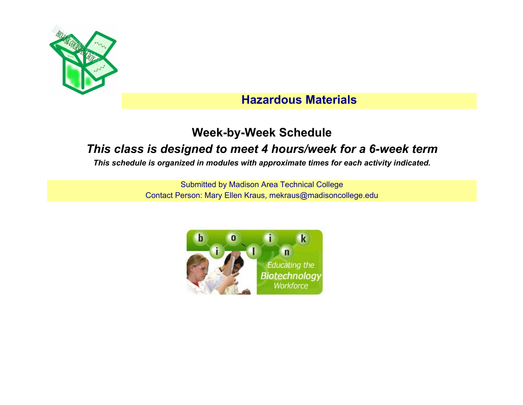

# **Hazardous Materials**

### **Week-by-Week Schedule**

# *This class is designed to meet 4 hours/week for a 6-week term*

*This schedule is organized in modules with approximate times for each activity indicated.*

Submitted by Madison Area Technical College Contact Person: Mary Ellen Kraus, mekraus@madisoncollege.edu

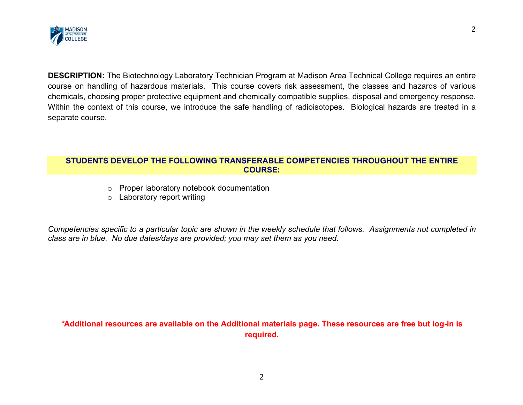

**DESCRIPTION:** The Biotechnology Laboratory Technician Program at Madison Area Technical College requires an entire course on handling of hazardous materials. This course covers risk assessment, the classes and hazards of various chemicals, choosing proper protective equipment and chemically compatible supplies, disposal and emergency response. Within the context of this course, we introduce the safe handling of radioisotopes. Biological hazards are treated in a separate course.

#### **STUDENTS DEVELOP THE FOLLOWING TRANSFERABLE COMPETENCIES THROUGHOUT THE ENTIRE COURSE:**

- o Proper laboratory notebook documentation
- o Laboratory report writing

*Competencies specific to a particular topic are shown in the weekly schedule that follows. Assignments not completed in class are in blue. No due dates/days are provided; you may set them as you need.*

*\****Additional resources are available on the Additional materials page. These resources are free but log-in is required.**

2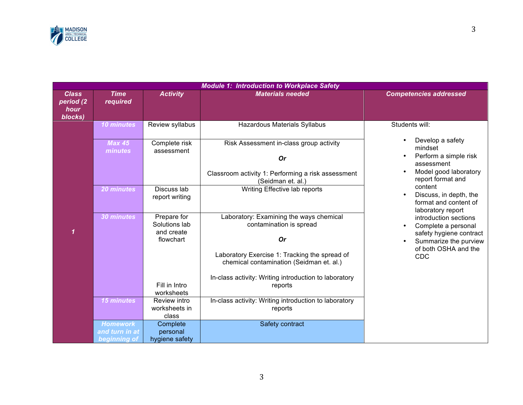

| <b>Module 1: Introduction to Workplace Safety</b> |                                                                                                                                                          |                                                                                                                          |                                                                                                                                                               |                                                                                                                                    |  |  |
|---------------------------------------------------|----------------------------------------------------------------------------------------------------------------------------------------------------------|--------------------------------------------------------------------------------------------------------------------------|---------------------------------------------------------------------------------------------------------------------------------------------------------------|------------------------------------------------------------------------------------------------------------------------------------|--|--|
| <b>Class</b><br>period (2<br>hour<br>blocks)      | <b>Time</b><br>required                                                                                                                                  | <b>Activity</b>                                                                                                          | <b>Materials needed</b>                                                                                                                                       | <b>Competencies addressed</b>                                                                                                      |  |  |
|                                                   | 10 minutes<br><b>Max 45</b><br>minutes                                                                                                                   | Review syllabus<br>Complete risk<br>assessment                                                                           | Hazardous Materials Syllabus<br>Risk Assessment in-class group activity<br><b>Or</b><br>Classroom activity 1: Performing a risk assessment                    | Students will:<br>Develop a safety<br>mindset<br>Perform a simple risk<br>assessment<br>Model good laboratory<br>report format and |  |  |
|                                                   | 20 minutes                                                                                                                                               | Discuss lab<br>report writing                                                                                            | (Seidman et. al.)<br>Writing Effective lab reports                                                                                                            | content<br>Discuss, in depth, the<br>format and content of<br>laboratory report                                                    |  |  |
|                                                   | Laboratory: Examining the ways chemical<br>Prepare for<br>30 minutes<br>Solutions lab<br>contamination is spread<br>and create<br><b>Or</b><br>flowchart | introduction sections<br>Complete a personal<br>safety hygiene contract<br>Summarize the purview<br>of both OSHA and the |                                                                                                                                                               |                                                                                                                                    |  |  |
|                                                   |                                                                                                                                                          | Fill in Intro<br>worksheets                                                                                              | Laboratory Exercise 1: Tracking the spread of<br>chemical contamination (Seidman et. al.)<br>In-class activity: Writing introduction to laboratory<br>reports | CDC                                                                                                                                |  |  |
|                                                   | <b>15 minutes</b>                                                                                                                                        | Review intro<br>worksheets in<br>class                                                                                   | In-class activity: Writing introduction to laboratory<br>reports                                                                                              |                                                                                                                                    |  |  |
|                                                   | <b>Homework</b><br>and turn in at<br>beginning of                                                                                                        | Complete<br>personal<br>hygiene safety                                                                                   | Safety contract                                                                                                                                               |                                                                                                                                    |  |  |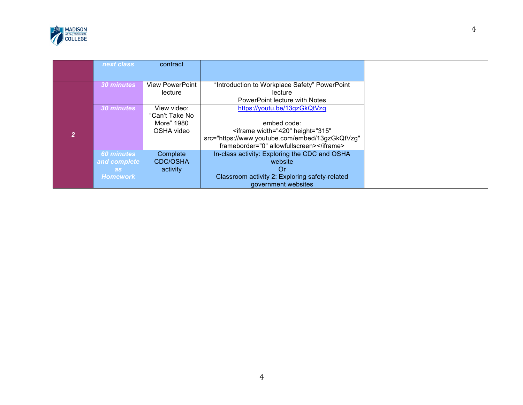

| next class        | contract               |                                                       |
|-------------------|------------------------|-------------------------------------------------------|
|                   |                        |                                                       |
| 30 minutes        | <b>View PowerPoint</b> | "Introduction to Workplace Safety" PowerPoint         |
|                   | lecture                | lecture                                               |
|                   |                        | PowerPoint lecture with Notes                         |
| 30 minutes        | View video:            | https://youtu.be/13gzGkQtVzg                          |
|                   | "Can't Take No         |                                                       |
|                   | More" 1980             | embed code:                                           |
|                   | OSHA video             | <iframe <="" height="315" th="" width="420"></iframe> |
|                   |                        | src="https://www.youtube.com/embed/13gzGkQtVzg"       |
|                   |                        | frameborder="0" allowfullscreen>                      |
| <b>60 minutes</b> | Complete               | In-class activity: Exploring the CDC and OSHA         |
| and complete      | <b>CDC/OSHA</b>        | website                                               |
| as:               | activity               | Or                                                    |
| <b>Homework</b>   |                        | Classroom activity 2: Exploring safety-related        |
|                   |                        | government websites                                   |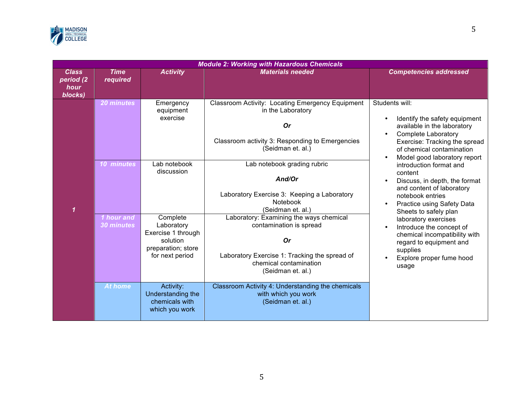

|                                              | <b>Module 2: Working with Hazardous Chemicals</b> |                                                                                                                              |                                                                                                                                                                                                 |                                                                                                                                                                                                                         |  |  |  |
|----------------------------------------------|---------------------------------------------------|------------------------------------------------------------------------------------------------------------------------------|-------------------------------------------------------------------------------------------------------------------------------------------------------------------------------------------------|-------------------------------------------------------------------------------------------------------------------------------------------------------------------------------------------------------------------------|--|--|--|
| <b>Class</b><br>period (2<br>hour<br>blocks) | <b>Time</b><br>required                           | <b>Activity</b>                                                                                                              | <b>Materials needed</b>                                                                                                                                                                         | <b>Competencies addressed</b>                                                                                                                                                                                           |  |  |  |
|                                              | <b>20 minutes</b>                                 | Emergency<br>equipment<br>exercise                                                                                           | Classroom Activity: Locating Emergency Equipment<br>in the Laboratory<br><b>Or</b><br>Classroom activity 3: Responding to Emergencies<br>(Seidman et. al.)                                      | Students will:<br>Identify the safety equipment<br>$\bullet$<br>available in the laboratory<br><b>Complete Laboratory</b><br>Exercise: Tracking the spread<br>of chemical contamination<br>Model good laboratory report |  |  |  |
| $\mathbf{1}$                                 | 10 minutes<br>Lab notebook<br>discussion          | Lab notebook grading rubric<br>And/Or<br>Laboratory Exercise 3: Keeping a Laboratory<br><b>Notebook</b><br>(Seidman et. al.) | introduction format and<br>content<br>Discuss, in depth, the format<br>$\bullet$<br>and content of laboratory<br>notebook entries<br><b>Practice using Safety Data</b><br>Sheets to safely plan |                                                                                                                                                                                                                         |  |  |  |
|                                              | 1 hour and<br>30 minutes                          | Complete<br>Laboratory<br>Exercise 1 through<br>solution<br>preparation; store<br>for next period                            | Laboratory: Examining the ways chemical<br>contamination is spread<br><b>Or</b><br>Laboratory Exercise 1: Tracking the spread of<br>chemical contamination<br>(Seidman et. al.)                 | laboratory exercises<br>Introduce the concept of<br>chemical incompatibility with<br>regard to equipment and<br>supplies<br>Explore proper fume hood<br>usage                                                           |  |  |  |
|                                              | At home                                           | Activity:<br>Understanding the<br>chemicals with<br>which you work                                                           | Classroom Activity 4: Understanding the chemicals<br>with which you work<br>(Seidman et. al.)                                                                                                   |                                                                                                                                                                                                                         |  |  |  |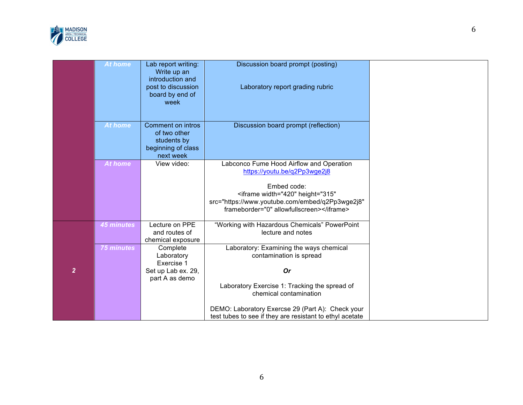

|                | <b>At home</b>    | Lab report writing:<br>Write up an<br>introduction and<br>post to discussion        | Discussion board prompt (posting)<br>Laboratory report grading rubric                                                                                   |
|----------------|-------------------|-------------------------------------------------------------------------------------|---------------------------------------------------------------------------------------------------------------------------------------------------------|
|                |                   | board by end of<br>week                                                             |                                                                                                                                                         |
|                | At home           | Comment on intros<br>of two other<br>students by<br>beginning of class<br>next week | Discussion board prompt (reflection)                                                                                                                    |
|                | <b>At home</b>    | View video:                                                                         | Labconco Fume Hood Airflow and Operation<br>https://youtu.be/q2Pp3wge2j8                                                                                |
|                |                   |                                                                                     | Embed code:<br><iframe <br="" height="315" width="420">src="https://www.youtube.com/embed/q2Pp3wge2j8"<br/>frameborder="0" allowfullscreen&gt;</iframe> |
|                | <b>45 minutes</b> | Lecture on PPE<br>and routes of<br>chemical exposure                                | "Working with Hazardous Chemicals" PowerPoint<br>lecture and notes                                                                                      |
|                | <b>75 minutes</b> | Complete<br>Laboratory<br>Exercise 1                                                | Laboratory: Examining the ways chemical<br>contamination is spread                                                                                      |
| $\overline{2}$ |                   | Set up Lab ex. 29,<br>part A as demo                                                | <b>Or</b>                                                                                                                                               |
|                |                   |                                                                                     | Laboratory Exercise 1: Tracking the spread of<br>chemical contamination                                                                                 |
|                |                   |                                                                                     | DEMO: Laboratory Exercse 29 (Part A): Check your<br>test tubes to see if they are resistant to ethyl acetate                                            |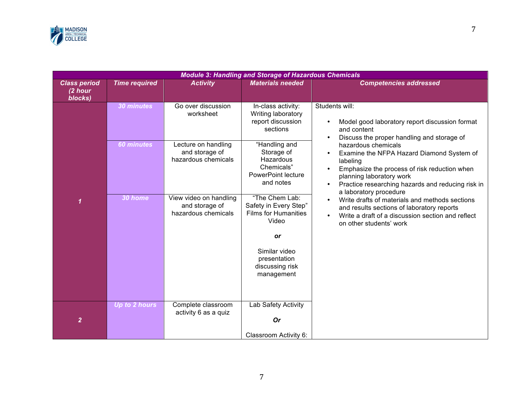

| <b>Module 3: Handling and Storage of Hazardous Chemicals</b> |                      |                                                                 |                                                                                                  |                                                                                                                                                                                                                                                                   |  |  |  |  |
|--------------------------------------------------------------|----------------------|-----------------------------------------------------------------|--------------------------------------------------------------------------------------------------|-------------------------------------------------------------------------------------------------------------------------------------------------------------------------------------------------------------------------------------------------------------------|--|--|--|--|
| <b>Class period</b><br>(2 hour<br>blocks)                    | <b>Time required</b> | <b>Activity</b>                                                 | <b>Materials needed</b>                                                                          | <b>Competencies addressed</b>                                                                                                                                                                                                                                     |  |  |  |  |
|                                                              | 30 minutes           | Go over discussion<br>worksheet                                 | In-class activity:<br>Writing laboratory<br>report discussion<br>sections                        | Students will:<br>Model good laboratory report discussion format<br>$\bullet$<br>and content<br>Discuss the proper handling and storage of<br>$\bullet$                                                                                                           |  |  |  |  |
|                                                              | <b>60 minutes</b>    | Lecture on handling<br>and storage of<br>hazardous chemicals    | "Handling and<br>Storage of<br>Hazardous<br>Chemicals"<br><b>PowerPoint lecture</b><br>and notes | hazardous chemicals<br>Examine the NFPA Hazard Diamond System of<br>$\bullet$<br>labeling<br>Emphasize the process of risk reduction when<br>planning laboratory work<br>Practice researching hazards and reducing risk in<br>$\bullet$<br>a laboratory procedure |  |  |  |  |
| $\overline{\mathbf{1}}$                                      | 30 home              | View video on handling<br>and storage of<br>hazardous chemicals | "The Chem Lab:<br>Safety in Every Step"<br><b>Films for Humanities</b><br>Video                  | Write drafts of materials and methods sections<br>and results sections of laboratory reports<br>Write a draft of a discussion section and reflect<br>on other students' work                                                                                      |  |  |  |  |
|                                                              |                      |                                                                 | or<br>Similar video<br>presentation<br>discussing risk<br>management                             |                                                                                                                                                                                                                                                                   |  |  |  |  |
| $\overline{2}$                                               | Up to 2 hours        | Complete classroom<br>activity 6 as a quiz                      | Lab Safety Activity<br><b>Or</b><br>Classroom Activity 6:                                        |                                                                                                                                                                                                                                                                   |  |  |  |  |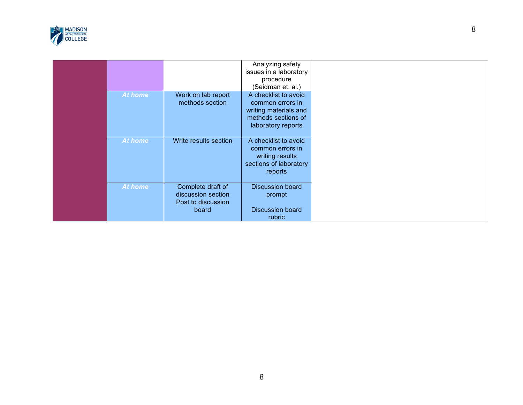

|                |                       | Analyzing safety        |
|----------------|-----------------------|-------------------------|
|                |                       | issues in a laboratory  |
|                |                       | procedure               |
|                |                       | (Seidman et. al.)       |
| At home        | Work on lab report    | A checklist to avoid    |
|                | methods section       | common errors in        |
|                |                       | writing materials and   |
|                |                       | methods sections of     |
|                |                       | laboratory reports      |
|                |                       |                         |
| At home        | Write results section | A checklist to avoid    |
|                |                       | common errors in        |
|                |                       | writing results         |
|                |                       | sections of laboratory  |
|                |                       | reports                 |
|                |                       |                         |
| <b>At home</b> | Complete draft of     | <b>Discussion board</b> |
|                | discussion section    | prompt                  |
|                | Post to discussion    |                         |
|                | board                 | <b>Discussion board</b> |
|                |                       | rubric                  |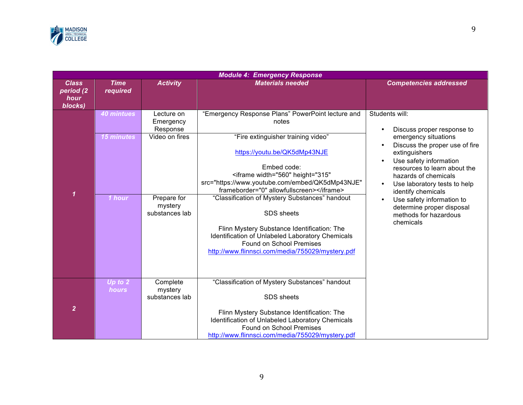

| <b>Module 4: Emergency Response</b>          |                                                  |                                                                                                   |                                                                                                                                                                                                                                                                                                                                                                                                                                                                                                                                                              |                                                                                                                                                                                                                                                                                                                                                                 |  |  |
|----------------------------------------------|--------------------------------------------------|---------------------------------------------------------------------------------------------------|--------------------------------------------------------------------------------------------------------------------------------------------------------------------------------------------------------------------------------------------------------------------------------------------------------------------------------------------------------------------------------------------------------------------------------------------------------------------------------------------------------------------------------------------------------------|-----------------------------------------------------------------------------------------------------------------------------------------------------------------------------------------------------------------------------------------------------------------------------------------------------------------------------------------------------------------|--|--|
| <b>Class</b><br>period (2<br>hour<br>blocks) | <b>Time</b><br>required                          | <b>Activity</b>                                                                                   | <b>Materials needed</b>                                                                                                                                                                                                                                                                                                                                                                                                                                                                                                                                      | <b>Competencies addressed</b>                                                                                                                                                                                                                                                                                                                                   |  |  |
| $\mathbf 1$                                  | <b>40 mintues</b><br><b>15 minutes</b><br>1 hour | Lecture on<br>Emergency<br>Response<br>Video on fires<br>Prepare for<br>mystery<br>substances lab | "Emergency Response Plans" PowerPoint lecture and<br>notes<br>"Fire extinguisher training video"<br>https://youtu.be/QK5dMp43NJE<br>Embed code:<br><iframe <br="" height="315" width="560">src="https://www.youtube.com/embed/QK5dMp43NJE"<br/>frameborder="0" allowfullscreen&gt;</iframe><br>"Classification of Mystery Substances" handout<br><b>SDS</b> sheets<br>Flinn Mystery Substance Identification: The<br>Identification of Unlabeled Laboratory Chemicals<br><b>Found on School Premises</b><br>http://www.flinnsci.com/media/755029/mystery.pdf | Students will:<br>Discuss proper response to<br>emergency situations<br>Discuss the proper use of fire<br>extinguishers<br>Use safety information<br>resources to learn about the<br>hazards of chemicals<br>Use laboratory tests to help<br>identify chemicals<br>Use safety information to<br>determine proper disposal<br>methods for hazardous<br>chemicals |  |  |
| $\overline{2}$                               | Up to 2<br>hours                                 | Complete<br>mystery<br>substances lab                                                             | "Classification of Mystery Substances" handout<br>SDS sheets<br>Flinn Mystery Substance Identification: The<br>Identification of Unlabeled Laboratory Chemicals<br><b>Found on School Premises</b><br>http://www.flinnsci.com/media/755029/mystery.pdf                                                                                                                                                                                                                                                                                                       |                                                                                                                                                                                                                                                                                                                                                                 |  |  |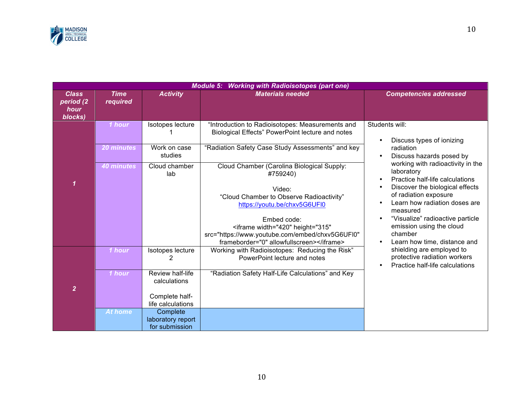

|                                              | <b>Module 5: Working with Radioisotopes (part one)</b> |                                                                                                                                                     |                                                                                                                                                                                                                                               |                                                                                                                                                                                                                                            |  |  |  |  |
|----------------------------------------------|--------------------------------------------------------|-----------------------------------------------------------------------------------------------------------------------------------------------------|-----------------------------------------------------------------------------------------------------------------------------------------------------------------------------------------------------------------------------------------------|--------------------------------------------------------------------------------------------------------------------------------------------------------------------------------------------------------------------------------------------|--|--|--|--|
| <b>Class</b><br>period (2<br>hour<br>blocks) | <b>Time</b><br>required                                | <b>Activity</b>                                                                                                                                     | <b>Materials needed</b>                                                                                                                                                                                                                       | <b>Competencies addressed</b>                                                                                                                                                                                                              |  |  |  |  |
|                                              | 1 hour<br>20 minutes<br><b>40 minutes</b>              | Isotopes lecture<br>Work on case<br>studies<br>Cloud chamber<br>lab                                                                                 | "Introduction to Radioisotopes: Measurements and<br>Biological Effects" PowerPoint lecture and notes<br>"Radiation Safety Case Study Assessments" and key<br>Cloud Chamber (Carolina Biological Supply:<br>#759240)                           | Students will:<br>Discuss types of ionizing<br>$\bullet$<br>radiation<br>Discuss hazards posed by<br>working with radioactivity in the<br>laboratory<br>Practice half-life calculations<br>$\bullet$                                       |  |  |  |  |
|                                              |                                                        |                                                                                                                                                     | Video:<br>"Cloud Chamber to Observe Radioactivity"<br>https://youtu.be/chxv5G6UFI0<br>Embed code:<br><iframe <br="" height="315" width="420">src="https://www.youtube.com/embed/chxv5G6UFI0"<br/>frameborder="0" allowfullscreen&gt;</iframe> | Discover the biological effects<br>$\bullet$<br>of radiation exposure<br>Learn how radiation doses are<br>measured<br>"Visualize" radioactive particle<br>emission using the cloud<br>chamber<br>Learn how time, distance and<br>$\bullet$ |  |  |  |  |
| $\overline{2}$                               | 1 hour<br>1 hour<br><b>At home</b>                     | Isotopes lecture<br>2<br>Review half-life<br>calculations<br>Complete half-<br>life calculations<br>Complete<br>laboratory report<br>for submission | Working with Radioisotopes: Reducing the Risk"<br>PowerPoint lecture and notes<br>"Radiation Safety Half-Life Calculations" and Key                                                                                                           | shielding are employed to<br>protective radiation workers<br>Practice half-life calculations<br>$\bullet$                                                                                                                                  |  |  |  |  |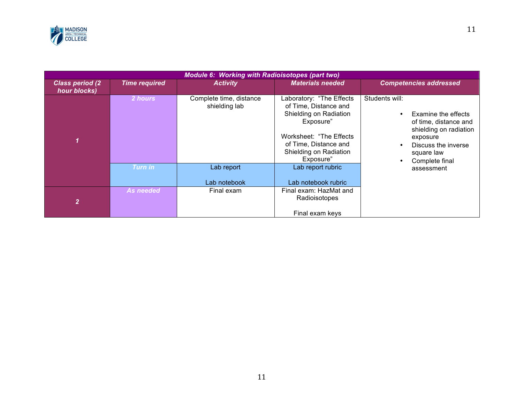

| <b>Module 6: Working with Radioisotopes (part two)</b> |                      |                                          |                                                                                                                                                                                      |                                                                                                                                                             |  |  |  |
|--------------------------------------------------------|----------------------|------------------------------------------|--------------------------------------------------------------------------------------------------------------------------------------------------------------------------------------|-------------------------------------------------------------------------------------------------------------------------------------------------------------|--|--|--|
| <b>Class period (2)</b><br>hour blocks)                | <b>Time required</b> | <b>Activity</b>                          | <b>Materials needed</b>                                                                                                                                                              | <b>Competencies addressed</b>                                                                                                                               |  |  |  |
|                                                        | 2 hours              | Complete time, distance<br>shielding lab | Laboratory: "The Effects<br>of Time, Distance and<br>Shielding on Radiation<br>Exposure"<br>Worksheet: "The Effects"<br>of Time, Distance and<br>Shielding on Radiation<br>Exposure" | Students will:<br>Examine the effects<br>of time, distance and<br>shielding on radiation<br>exposure<br>Discuss the inverse<br>square law<br>Complete final |  |  |  |
|                                                        | Turn in              | Lab report<br>Lab notebook               | Lab report rubric<br>Lab notebook rubric                                                                                                                                             | assessment                                                                                                                                                  |  |  |  |
| $\mathbf{2}^{\prime}$                                  | <b>As needed</b>     | Final exam                               | Final exam: HazMat and<br>Radioisotopes<br>Final exam keys                                                                                                                           |                                                                                                                                                             |  |  |  |